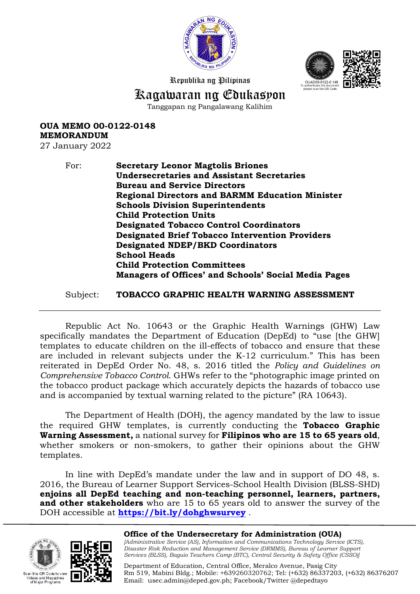



Republika ng Pilipinas

## Kagawaran ng Edukasyon

Tanggapan ng Pangalawang Kalihim

**OUA MEMO 00-0122-0148 MEMORANDUM**

27 January 2022

For: **Secretary Leonor Magtolis Briones Undersecretaries and Assistant Secretaries Bureau and Service Directors Regional Directors and BARMM Education Minister Schools Division Superintendents Child Protection Units Designated Tobacco Control Coordinators Designated Brief Tobacco Intervention Providers Designated NDEP/BKD Coordinators School Heads Child Protection Committees Managers of Offices' and Schools' Social Media Pages**

Subject: **TOBACCO GRAPHIC HEALTH WARNING ASSESSMENT**

Republic Act No. 10643 or the Graphic Health Warnings (GHW) Law specifically mandates the Department of Education (DepEd) to "use [the GHW] templates to educate children on the ill-effects of tobacco and ensure that these are included in relevant subjects under the K-12 curriculum." This has been reiterated in DepEd Order No. 48, s. 2016 titled the *Policy and Guidelines on Comprehensive Tobacco Control*. GHWs refer to the "photographic image printed on the tobacco product package which accurately depicts the hazards of tobacco use and is accompanied by textual warning related to the picture" (RA 10643).

The Department of Health (DOH), the agency mandated by the law to issue the required GHW templates, is currently conducting the **Tobacco Graphic Warning Assessment,** a national survey for **Filipinos who are 15 to 65 years old**, whether smokers or non-smokers, to gather their opinions about the GHW templates.

In line with DepEd's mandate under the law and in support of DO 48, s. 2016, the Bureau of Learner Support Services-School Health Division (BLSS-SHD) **enjoins all DepEd teaching and non-teaching personnel, learners, partners, and other stakeholders** who are 15 to 65 years old to answer the survey of the DOH accessible at **<https://bit.ly/dohghwsurvey>** .





**Office of the Undersecretary for Administration (OUA)** *[Administrative Service (AS), Information and Communications Technology Service (ICTS), Disaster Risk Reduction and Management Service (DRMMS), Bureau of Learner Support Services (BLSS), Baguio Teachers Camp (BTC), Central Security & Safety Office (CSSO)]*

Department of Education, Central Office, Meralco Avenue, Pasig City Rm 519, Mabini Bldg.; Mobile: +639260320762; Tel: (+632) 86337203, (+632) 86376207 Email: [usec.admin@deped.gov.ph;](mailto:usec.admin@deped.gov.ph) Facebook/Twitter @depedtayo